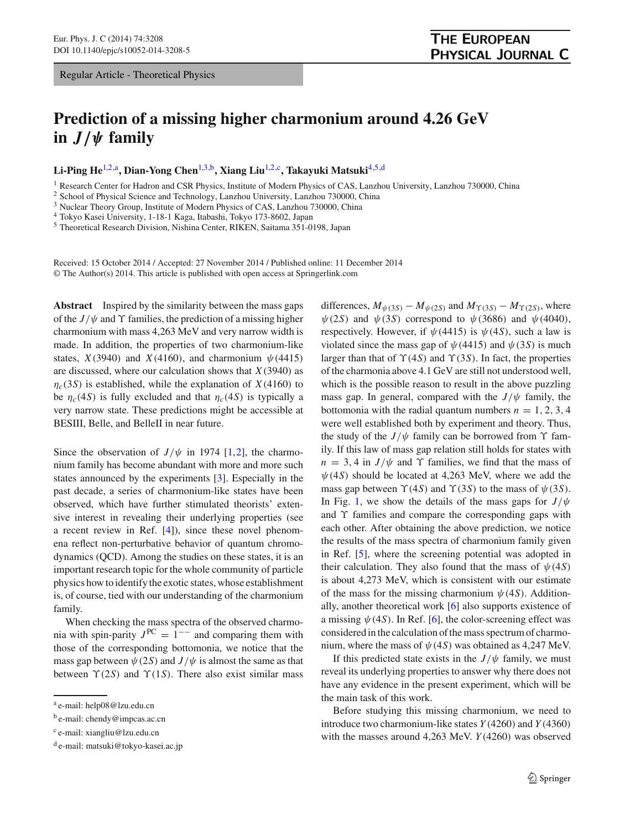## **Prediction of a missing higher charmonium around 4.26 GeV**  $\int$ *j*  $\int$ *y* **family**

**Li-Ping He**[1,2,](#page-0-0)a**, Dian-Yong Chen**[1,](#page-0-0)[3,](#page-0-1)b**, Xiang Liu**[1,2,](#page-0-0)c**, Takayuki Matsuki**[4](#page-0-2)[,5,](#page-0-3)d

<sup>1</sup> Research Center for Hadron and CSR Physics, Institute of Modern Physics of CAS, Lanzhou University, Lanzhou 730000, China

<sup>2</sup> School of Physical Science and Technology, Lanzhou University, Lanzhou 730000, China

<sup>3</sup> Nuclear Theory Group, Institute of Modern Physics of CAS, Lanzhou 730000, China

<sup>4</sup> Tokyo Kasei University, 1-18-1 Kaga, Itabashi, Tokyo 173-8602, Japan

<sup>5</sup> Theoretical Research Division, Nishina Center, RIKEN, Saitama 351-0198, Japan

Received: 15 October 2014 / Accepted: 27 November 2014 / Published online: 11 December 2014 © The Author(s) 2014. This article is published with open access at Springerlink.com

**Abstract** Inspired by the similarity between the mass gaps of the  $J/\psi$  and  $\Upsilon$  families, the prediction of a missing higher charmonium with mass 4,263 MeV and very narrow width is made. In addition, the properties of two charmonium-like states,  $X(3940)$  and  $X(4160)$ , and charmonium  $\psi(4415)$ are discussed, where our calculation shows that *X*(3940) as  $\eta_c(3S)$  is established, while the explanation of *X*(4160) to be  $\eta_c(4S)$  is fully excluded and that  $\eta_c(4S)$  is typically a very narrow state. These predictions might be accessible at BESIII, Belle, and BelleII in near future.

Since the observation of  $J/\psi$  in 1974 [\[1](#page-4-0)[,2](#page-4-1)], the charmonium family has become abundant with more and more such states announced by the experiments [\[3\]](#page-4-2). Especially in the past decade, a series of charmonium-like states have been observed, which have further stimulated theorists' extensive interest in revealing their underlying properties (see a recent review in Ref. [\[4\]](#page-4-3)), since these novel phenomena reflect non-perturbative behavior of quantum chromodynamics (QCD). Among the studies on these states, it is an important research topic for the whole community of particle physics how to identify the exotic states, whose establishment is, of course, tied with our understanding of the charmonium family.

When checking the mass spectra of the observed charmonia with spin-parity  $J^{PC} = 1^{--}$  and comparing them with those of the corresponding bottomonia, we notice that the mass gap between  $\psi(2S)$  and  $J/\psi$  is almost the same as that between  $\Upsilon(2S)$  and  $\Upsilon(1S)$ . There also exist similar mass <span id="page-0-3"></span><span id="page-0-2"></span><span id="page-0-1"></span><span id="page-0-0"></span>differences,  $M_{\psi(3S)} - M_{\psi(2S)}$  and  $M_{\Upsilon(3S)} - M_{\Upsilon(2S)}$ , where  $\psi(2S)$  and  $\psi(3S)$  correspond to  $\psi(3686)$  and  $\psi(4040)$ , respectively. However, if  $\psi$ (4415) is  $\psi$ (4*S*), such a law is violated since the mass gap of  $\psi$ (4415) and  $\psi$ (3*S*) is much larger than that of  $\Upsilon(4S)$  and  $\Upsilon(3S)$ . In fact, the properties of the charmonia above 4.1 GeV are still not understood well, which is the possible reason to result in the above puzzling mass gap. In general, compared with the  $J/\psi$  family, the bottomonia with the radial quantum numbers  $n = 1, 2, 3, 4$ were well established both by experiment and theory. Thus, the study of the  $J/\psi$  family can be borrowed from  $\Upsilon$  family. If this law of mass gap relation still holds for states with  $n = 3, 4$  in *J*/ $\psi$  and  $\Upsilon$  families, we find that the mass of  $\psi$ (4*S*) should be located at 4,263 MeV, where we add the mass gap between  $\Upsilon(4S)$  and  $\Upsilon(3S)$  to the mass of  $\psi(3S)$ . In Fig. [1,](#page-1-0) we show the details of the mass gaps for  $J/\psi$ and  $\Upsilon$  families and compare the corresponding gaps with each other. After obtaining the above prediction, we notice the results of the mass spectra of charmonium family given in Ref. [\[5\]](#page-4-4), where the screening potential was adopted in their calculation. They also found that the mass of  $\psi(4S)$ is about 4,273 MeV, which is consistent with our estimate of the mass for the missing charmonium  $\psi$ (4*S*). Additionally, another theoretical work [\[6\]](#page-4-5) also supports existence of a missing  $\psi$ (4*S*). In Ref. [\[6\]](#page-4-5), the color-screening effect was considered in the calculation of the mass spectrum of charmonium, where the mass of  $\psi$  (4*S*) was obtained as 4,247 MeV.

If this predicted state exists in the  $J/\psi$  family, we must reveal its underlying properties to answer why there does not have any evidence in the present experiment, which will be the main task of this work.

Before studying this missing charmonium, we need to introduce two charmonium-like states *Y* (4260) and *Y* (4360) with the masses around 4,263 MeV. *Y* (4260) was observed

<sup>a</sup> e-mail: help08@lzu.edu.cn

 $<sup>b</sup>$  e-mail: chendy@impcas.ac.cn</sup>

<sup>c</sup> e-mail: xiangliu@lzu.edu.cn

 $d$  e-mail: matsuki@tokyo-kasei.ac.jp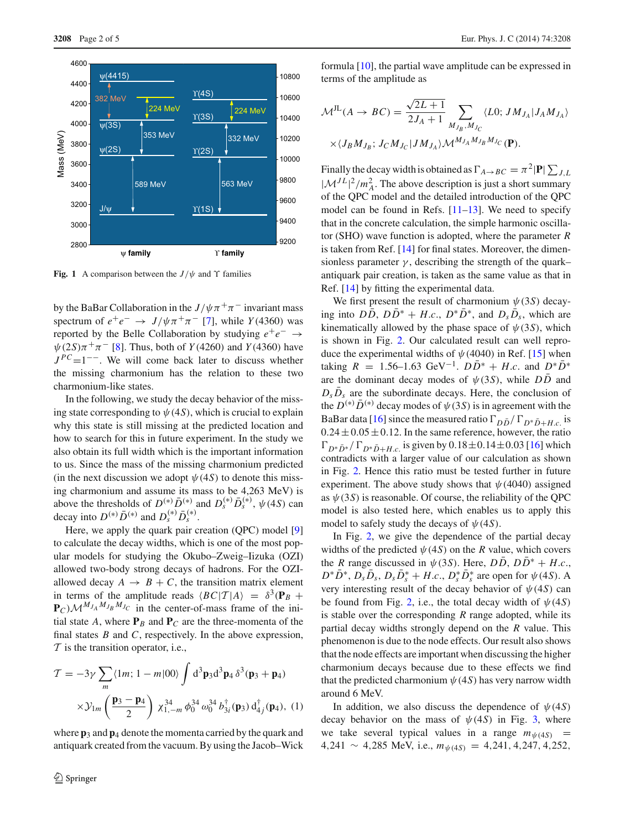

<span id="page-1-0"></span>**Fig. 1** A comparison between the  $J/\psi$  and  $\Upsilon$  families

by the BaBar Collaboration in the  $J/\psi \pi^+ \pi^-$  invariant mass spectrum of  $e^+e^- \rightarrow J/\psi \pi^+ \pi^-$  [\[7](#page-4-6)], while *Y*(4360) was reported by the Belle Collaboration by studying  $e^+e^- \rightarrow$  $\psi(2S)\pi^{+}\pi^{-}$  [\[8](#page-4-7)]. Thus, both of *Y*(4260) and *Y*(4360) have  $J^{PC}=1^{--}$ . We will come back later to discuss whether the missing charmonium has the relation to these two charmonium-like states.

In the following, we study the decay behavior of the missing state corresponding to  $\psi$  (4*S*), which is crucial to explain why this state is still missing at the predicted location and how to search for this in future experiment. In the study we also obtain its full width which is the important information to us. Since the mass of the missing charmonium predicted (in the next discussion we adopt  $\psi(4S)$  to denote this missing charmonium and assume its mass to be 4,263 MeV) is above the thresholds of  $D^{(*)}\bar{D}^{(*)}$  and  $D_s^{(*)}\bar{D}_s^{(*)}$ ,  $\psi$ (4*S*) can decay into  $D^{(*)}\bar{D}^{(*)}$  and  $D_s^{(*)}\bar{D}_s^{(*)}$ .

Here, we apply the quark pair creation (QPC) model [\[9\]](#page-4-8) to calculate the decay widths, which is one of the most popular models for studying the Okubo–Zweig–Iizuka (OZI) allowed two-body strong decays of hadrons. For the OZIallowed decay  $A \rightarrow B + C$ , the transition matrix element in terms of the amplitude reads  $\langle BC|T|A \rangle = \delta^3(\mathbf{P}_B + \mathbf{P}_C)$  $\mathbf{P}_C$ ) $\mathcal{M}^{M_{J_A}M_{J_B}M_{J_C}}$  in the center-of-mass frame of the initial state *A*, where  $P_B$  and  $P_C$  are the three-momenta of the final states *B* and *C*, respectively. In the above expression, *T* is the transition operator, i.e.,

$$
\mathcal{T} = -3\gamma \sum_{m} \langle 1m; 1-m|00 \rangle \int d^{3} \mathbf{p}_{3} d^{3} \mathbf{p}_{4} \delta^{3}(\mathbf{p}_{3} + \mathbf{p}_{4})
$$

$$
\times \mathcal{Y}_{1m} \left( \frac{\mathbf{p}_{3} - \mathbf{p}_{4}}{2} \right) \chi_{1,-m}^{34} \phi_{0}^{34} \omega_{0}^{34} b_{3i}^{\dagger}(\mathbf{p}_{3}) d_{4j}^{\dagger}(\mathbf{p}_{4}), (1)
$$

where **p**<sup>3</sup> and **p**<sup>4</sup> denote the momenta carried by the quark and antiquark created from the vacuum. By using the Jacob–Wick

formula [\[10](#page-4-9)], the partial wave amplitude can be expressed in terms of the amplitude as

$$
\mathcal{M}^{JL}(A \to BC) = \frac{\sqrt{2L+1}}{2J_A+1} \sum_{M_{J_B}, M_{J_C}} \langle L0; JM_{J_A} | J_A M_{J_A} \rangle
$$
  
 
$$
\times \langle J_B M_{J_B}; J_C M_{J_C} | JM_{J_A} \rangle \mathcal{M}^{M_{J_A} M_{J_B} M_{J_C}}(\mathbf{P}).
$$

Finally the decay width is obtained as  $\Gamma_{A\to BC} = \pi^2 |\mathbf{P}| \sum_{J,L}$  $|\mathcal{M}^{J} L|^2 / m_A^2$ . The above description is just a short summary of the QPC model and the detailed introduction of the QPC model can be found in Refs. [\[11](#page-4-10)[–13\]](#page-4-11). We need to specify that in the concrete calculation, the simple harmonic oscillator (SHO) wave function is adopted, where the parameter *R* is taken from Ref. [\[14](#page-4-12)] for final states. Moreover, the dimensionless parameter  $\gamma$ , describing the strength of the quark– antiquark pair creation, is taken as the same value as that in Ref. [\[14\]](#page-4-12) by fitting the experimental data.

We first present the result of charmonium  $\psi(3S)$  decaying into  $D\overline{D}$ ,  $D\overline{D}^* + H.c., D^*\overline{D}^*$ , and  $D_s\overline{D}_s$ , which are kinematically allowed by the phase space of  $\psi(3S)$ , which is shown in Fig. [2.](#page-2-0) Our calculated result can well reproduce the experimental widths of  $\psi$  (4040) in Ref. [\[15\]](#page-4-13) when taking  $R = 1.56-1.63 \text{ GeV}^{-1}$ .  $D\bar{D}^* + H.c.$  and  $D^*D^*$ are the dominant decay modes of  $\psi(3S)$ , while  $D\overline{D}$  and  $D_s \bar{D}_s$  are the subordinate decays. Here, the conclusion of the  $D^{(*)}\bar{D}^{(*)}$  decay modes of  $\psi(3S)$  is in agreement with the BaBar data [\[16](#page-4-14)] since the measured ratio  $\Gamma_{D\bar{D}} / \Gamma_{D^* \bar{D} + H.c.}$  is  $0.24 \pm 0.05 \pm 0.12$ . In the same reference, however, the ratio  $\Gamma_{D^*\bar{D}^*}/\Gamma_{D^*\bar{D}+H.c.}$  is given by  $0.18\pm0.14\pm0.03$  [\[16\]](#page-4-14) which contradicts with a larger value of our calculation as shown in Fig. [2.](#page-2-0) Hence this ratio must be tested further in future experiment. The above study shows that  $\psi$  (4040) assigned as  $\psi(3S)$  is reasonable. Of course, the reliability of the QPC model is also tested here, which enables us to apply this model to safely study the decays of  $\psi$ (4*S*).

In Fig. [2,](#page-2-0) we give the dependence of the partial decay widths of the predicted  $\psi$ (4*S*) on the *R* value, which covers the *R* range discussed in  $\psi$  (3*S*). Here,  $D\overline{D}$ ,  $D\overline{D}^* + H.c.,$  $D^*D^*$ ,  $D_sD_s$ ,  $D_sD_s^* + H.c.$ ,  $D_s^*D_s^*$  are open for  $\psi(4S)$ . A very interesting result of the decay behavior of  $\psi(4S)$  can be found from Fig. [2,](#page-2-0) i.e., the total decay width of  $\psi(4S)$ is stable over the corresponding *R* range adopted, while its partial decay widths strongly depend on the *R* value. This phenomenon is due to the node effects. Our result also shows that the node effects are important when discussing the higher charmonium decays because due to these effects we find that the predicted charmonium  $\psi$  (4*S*) has very narrow width around 6 MeV.

In addition, we also discuss the dependence of  $\psi(4S)$ decay behavior on the mass of  $\psi$ (4*S*) in Fig. [3,](#page-2-1) where we take several typical values in a range  $m_{\psi(4S)}$  = 4,241 ∼ 4,285 MeV, i.e., *m*ψ(4*S*) = 4,241, 4,247, 4,252,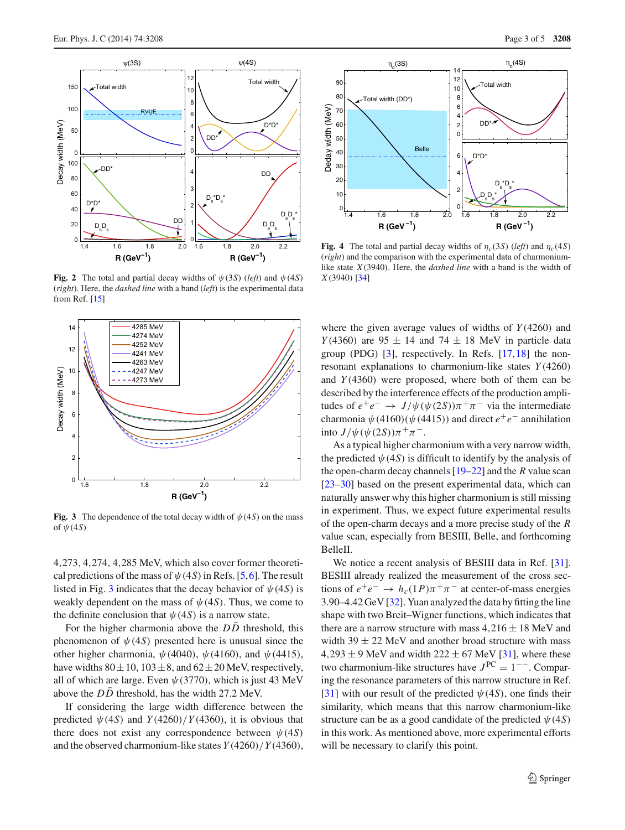

<span id="page-2-0"></span>**Fig. 2** The total and partial decay widths of  $\psi(3S)$  (*left*) and  $\psi(4S)$ (*right*). Here, the *dashed line* with a band (*left*) is the experimental data from Ref. [\[15](#page-4-13)]



<span id="page-2-1"></span>**Fig. 3** The dependence of the total decay width of  $\psi$  (4*S*) on the mass of  $\psi(4S)$ 

4,273, 4,274, 4,285 MeV, which also cover former theoretical predictions of the mass of  $\psi$  (4*S*) in Refs. [\[5](#page-4-4)[,6](#page-4-5)]. The result listed in Fig. [3](#page-2-1) indicates that the decay behavior of  $\psi(4S)$  is weakly dependent on the mass of  $\psi(4S)$ . Thus, we come to the definite conclusion that  $\psi$  (4*S*) is a narrow state.

For the higher charmonia above the *DD* threshold, this phenomenon of  $\psi$ (4*S*) presented here is unusual since the other higher charmonia,  $\psi(4040)$ ,  $\psi(4160)$ , and  $\psi(4415)$ , have widths  $80 \pm 10$ ,  $103 \pm 8$ , and  $62 \pm 20$  MeV, respectively, all of which are large. Even  $\psi$  (3770), which is just 43 MeV above the  $D\overline{D}$  threshold, has the width 27.2 MeV.

If considering the large width difference between the predicted  $\psi$ (4*S*) and *Y*(4260)/*Y*(4360), it is obvious that there does not exist any correspondence between  $\psi(4S)$ and the observed charmonium-like states *Y* (4260)/*Y* (4360),



<span id="page-2-2"></span>**Fig. 4** The total and partial decay widths of  $\eta_c(3S)$  (*left*) and  $\eta_c(4S)$ (*right*) and the comparison with the experimental data of charmoniumlike state *X*(3940). Here, the *dashed line* with a band is the width of *X*(3940) [\[34\]](#page-4-15)

where the given average values of widths of *Y* (4260) and *Y*(4360) are  $95 \pm 14$  and  $74 \pm 18$  MeV in particle data group (PDG)  $[3]$  $[3]$ , respectively. In Refs.  $[17,18]$  $[17,18]$  $[17,18]$  the nonresonant explanations to charmonium-like states *Y* (4260) and *Y* (4360) were proposed, where both of them can be described by the interference effects of the production amplitudes of  $e^+e^- \to J/\psi(\psi(2S))\pi^+\pi^-$  via the intermediate charmonia  $\psi$ (4160)( $\psi$ (4415)) and direct  $e^+e^-$  annihilation into  $J/\psi(\psi(2S))\pi^{+}\pi^{-}$ .

As a typical higher charmonium with a very narrow width, the predicted  $\psi$  (4*S*) is difficult to identify by the analysis of the open-charm decay channels [\[19](#page-4-18)[–22](#page-4-19)] and the *R* value scan [\[23](#page-4-20)[–30](#page-4-21)] based on the present experimental data, which can naturally answer why this higher charmonium is still missing in experiment. Thus, we expect future experimental results of the open-charm decays and a more precise study of the *R* value scan, especially from BESIII, Belle, and forthcoming BelleII.

We notice a recent analysis of BESIII data in Ref. [\[31](#page-4-22)]. BESIII already realized the measurement of the cross sections of  $e^+e^- \rightarrow h_c(1P)\pi^+\pi^-$  at center-of-mass energies 3.90–4.42 GeV [\[32](#page-4-23)]. Yuan analyzed the data by fitting the line shape with two Breit–Wigner functions, which indicates that there are a narrow structure with mass  $4,216 \pm 18$  MeV and width  $39 \pm 22$  MeV and another broad structure with mass  $4,293 \pm 9$  MeV and width  $222 \pm 67$  MeV [\[31\]](#page-4-22), where these two charmonium-like structures have *<sup>J</sup>* PC <sup>=</sup> <sup>1</sup>−−. Comparing the resonance parameters of this narrow structure in Ref. [\[31](#page-4-22)] with our result of the predicted  $\psi(4S)$ , one finds their similarity, which means that this narrow charmonium-like structure can be as a good candidate of the predicted  $\psi(4S)$ in this work. As mentioned above, more experimental efforts will be necessary to clarify this point.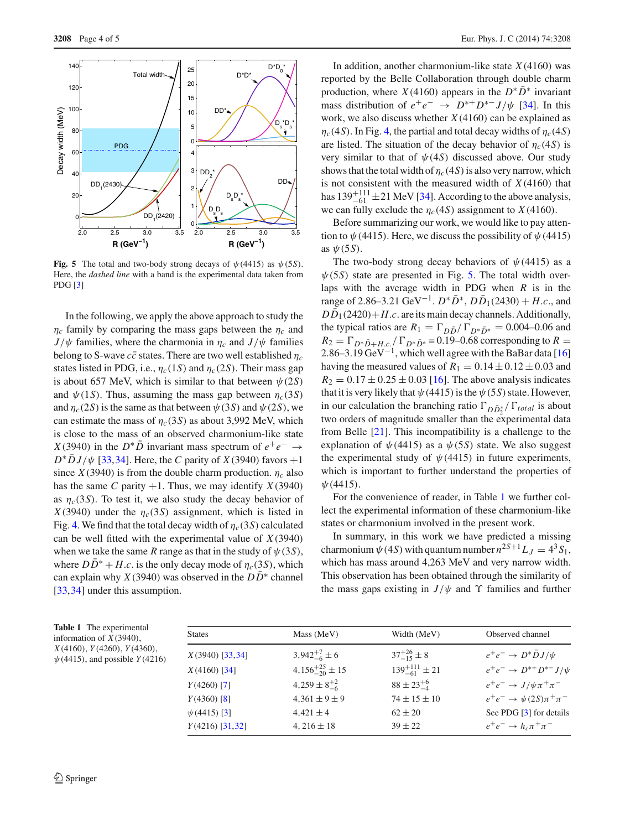

<span id="page-3-0"></span>**Fig. 5** The total and two-body strong decays of  $\psi$ (4415) as  $\psi$ (5*S*). Here, the *dashed line* with a band is the experimental data taken from PDG [\[3](#page-4-2)]

In the following, we apply the above approach to study the  $\eta_c$  family by comparing the mass gaps between the  $\eta_c$  and  $J/\psi$  families, where the charmonia in  $\eta_c$  and  $J/\psi$  families belong to S-wave  $c\bar{c}$  states. There are two well established  $\eta_c$ states listed in PDG, i.e.,  $\eta_c(1S)$  and  $\eta_c(2S)$ . Their mass gap is about 657 MeV, which is similar to that between  $\psi(2S)$ and  $\psi(1S)$ . Thus, assuming the mass gap between  $\eta_c(3S)$ and  $\eta_c(2S)$  is the same as that between  $\psi(3S)$  and  $\psi(2S)$ , we can estimate the mass of  $\eta_c(3S)$  as about 3,992 MeV, which is close to the mass of an observed charmonium-like state *X*(3940) in the  $D^* \overline{D}$  invariant mass spectrum of  $e^+ e^- \rightarrow$  $D^* \bar{D} J/\psi$  [\[33,](#page-4-24)[34\]](#page-4-15). Here, the *C* parity of *X*(3940) favors +1 since  $X(3940)$  is from the double charm production.  $\eta_c$  also has the same *C* parity  $+1$ . Thus, we may identify *X*(3940) as  $\eta_c(3S)$ . To test it, we also study the decay behavior of *X*(3940) under the  $\eta_c$ (3*S*) assignment, which is listed in Fig. [4.](#page-2-2) We find that the total decay width of  $\eta_c(3S)$  calculated can be well fitted with the experimental value of *X*(3940) when we take the same *R* range as that in the study of  $\psi(3S)$ , where  $DD^* + H.c.$  is the only decay mode of  $\eta_c(3S)$ , which can explain why *X*(3940) was observed in the  $D\overline{D}^*$  channel [\[33](#page-4-24),[34\]](#page-4-15) under this assumption.

In addition, another charmonium-like state *X*(4160) was reported by the Belle Collaboration through double charm production, where *X*(4160) appears in the  $D^* \overline{D}^*$  invariant mass distribution of  $e^+e^- \rightarrow D^{*+}D^{*-}J/\psi$  [\[34](#page-4-15)]. In this work, we also discuss whether *X*(4160) can be explained as  $\eta_c$ (4*S*). In Fig. [4,](#page-2-2) the partial and total decay widths of  $\eta_c$ (4*S*) are listed. The situation of the decay behavior of  $\eta_c(4S)$  is very similar to that of  $\psi(4S)$  discussed above. Our study shows that the total width of  $\eta_c(4S)$  is also very narrow, which is not consistent with the measured width of  $X(4160)$  that has  $139^{+111}_{-61}$  ± 21 MeV [\[34\]](#page-4-15). According to the above analysis, we can fully exclude the  $\eta_c(4S)$  assignment to *X*(4160).

Before summarizing our work, we would like to pay attention to  $\psi$  (4415). Here, we discuss the possibility of  $\psi$  (4415) as  $\psi$ (5*S*).

The two-body strong decay behaviors of  $\psi$ (4415) as a  $\psi$ (5*S*) state are presented in Fig. [5.](#page-3-0) The total width overlaps with the average width in PDG when *R* is in the range of 2.86–3.21 GeV<sup>-1</sup>.  $D^* \bar{D}^*$ ,  $D \bar{D}_1$ (2430) + *H.c.*, and  $D\bar{D}_1(2420) + H.c.$  are its main decay channels. Additionally, the typical ratios are  $R_1 = \Gamma_{D\bar{D}} / \Gamma_{D^*\bar{D}^*} = 0.004{\text -}0.06$  and  $R_2 = \Gamma_{D^*D+H,c} / \Gamma_{D^*D^*} = 0.19 - 0.68$  corresponding to  $R =$ 2.86–3.19  $GeV^{-1}$ , which well agree with the BaBar data [\[16\]](#page-4-14) having the measured values of  $R_1 = 0.14 \pm 0.12 \pm 0.03$  and  $R_2 = 0.17 \pm 0.25 \pm 0.03$  [\[16\]](#page-4-14). The above analysis indicates that it is very likely that  $\psi$  (4415) is the  $\psi$  (5*S*) state. However, in our calculation the branching ratio  $\Gamma_{D\bar{D}^*_{2}}/\Gamma_{total}$  is about two orders of magnitude smaller than the experimental data from Belle [\[21\]](#page-4-25). This incompatibility is a challenge to the explanation of  $\psi$ (4415) as a  $\psi$ (5*S*) state. We also suggest the experimental study of  $\psi$ (4415) in future experiments, which is important to further understand the properties of  $\psi(4415)$ .

For the convenience of reader, in Table [1](#page-3-1) we further collect the experimental information of these charmonium-like states or charmonium involved in the present work.

In summary, in this work we have predicted a missing charmonium  $\psi$  (4*S*) with quantum number  $n^{2S+1}L_J = 4^3S_1$ , which has mass around 4,263 MeV and very narrow width. This observation has been obtained through the similarity of the mass gaps existing in  $J/\psi$  and  $\Upsilon$  families and further

<span id="page-3-1"></span>

| <b>Table 1</b> The experimental<br>information of $X(3940)$ ,<br>X(4160), Y(4260), Y(4360),<br>$\psi$ (4415), and possible $Y$ (4216) | <b>States</b>     | Mass (MeV)               | Width (MeV)               | Observed channel                        |
|---------------------------------------------------------------------------------------------------------------------------------------|-------------------|--------------------------|---------------------------|-----------------------------------------|
|                                                                                                                                       | $X(3940)$ [33,34] | $3,942^{+7}_{-6}$ ± 6    | $37^{+26}_{-15}$ ± 8      | $e^+e^- \rightarrow D^* \bar{D} J/\psi$ |
|                                                                                                                                       | $X(4160)$ [34]    | $4,156^{+25}_{-20}$ ± 15 | $139^{+111}_{-61} \pm 21$ | $e^+e^- \to D^{*+}D^{*-}J/\psi$         |
|                                                                                                                                       | $Y(4260)$ [7]     | $4,259 \pm 8^{+2}_{-6}$  | $88 \pm 23^{+6}$          | $e^+e^- \rightarrow J/\psi \pi^+ \pi^-$ |
|                                                                                                                                       | $Y(4360)$ [8]     | $4,361 \pm 9 \pm 9$      | $74 \pm 15 \pm 10$        | $e^+e^- \to \psi(2S)\pi^+\pi^-$         |
|                                                                                                                                       | $\psi(4415)$ [3]  | $4,421 \pm 4$            | $62 \pm 20$               | See PDG [3] for details                 |
|                                                                                                                                       | $Y(4216)$ [31,32] | $4,216 \pm 18$           | $39 \pm 22$               | $e^+e^- \rightarrow h_c \pi^+ \pi^-$    |

**Table 1** The experimental information of *X*(3940),